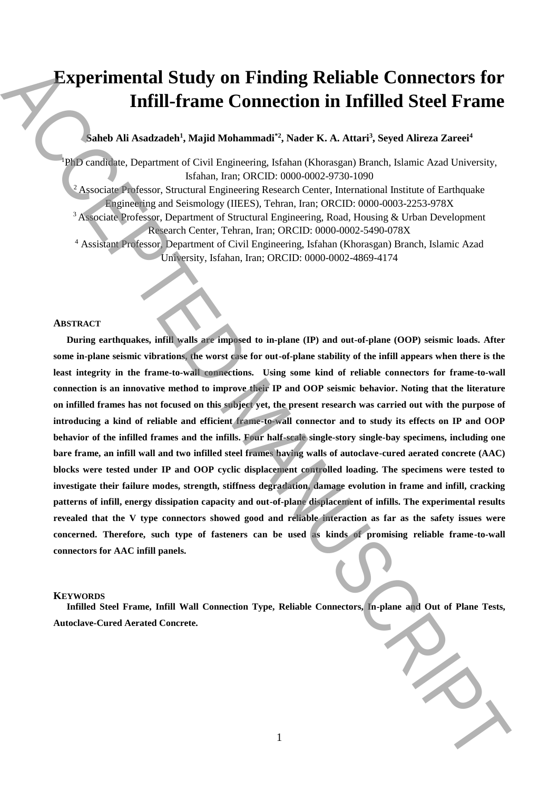# **Experimental Study on Finding Reliable Connectors for Infill-frame Connection in Infilled Steel Frame**

# **Saheb Ali Asadzadeh<sup>1</sup> , Majid Mohammadi\*2, Nader K. A. Attari<sup>3</sup> , Seyed Alireza Zareei<sup>4</sup>**

<sup>1</sup>PhD candidate, Department of Civil Engineering, Isfahan (Khorasgan) Branch, Islamic Azad University, Isfahan, Iran; ORCID: 0000-0002-9730-1090 <sup>2</sup> Associate Professor, Structural Engineering Research Center, International Institute of Earthquake Engineering and Seismology (IIEES), Tehran, Iran; ORCID: 0000-0003-2253-978X <sup>3</sup> Associate Professor, Department of Structural Engineering, Road, Housing & Urban Development Research Center, Tehran, Iran; ORCID: 0000-0002-5490-078X <sup>4</sup> Assistant Professor, Department of Civil Engineering, Isfahan (Khorasgan) Branch, Islamic Azad University, Isfahan, Iran; ORCID: 0000-0002-4869-4174

# **ABSTRACT**

**During earthquakes, infill walls are imposed to in-plane (IP) and out-of-plane (OOP) seismic loads. After some in-plane seismic vibrations, the worst case for out-of-plane stability of the infill appears when there is the least integrity in the frame-to-wall connections. Using some kind of reliable connectors for frame-to-wall connection is an innovative method to improve their IP and OOP seismic behavior. Noting that the literature on infilled frames has not focused on this subject yet, the present research was carried out with the purpose of introducing a kind of reliable and efficient frame-to-wall connector and to study its effects on IP and OOP behavior of the infilled frames and the infills. Four half-scale single-story single-bay specimens, including one bare frame, an infill wall and two infilled steel frames having walls of autoclave-cured aerated concrete (AAC) blocks were tested under IP and OOP cyclic displacement controlled loading. The specimens were tested to investigate their failure modes, strength, stiffness degradation, damage evolution in frame and infill, cracking patterns of infill, energy dissipation capacity and out-of-plane displacement of infills. The experimental results revealed that the V type connectors showed good and reliable interaction as far as the safety issues were concerned. Therefore, such type of fasteners can be used as kinds of promising reliable frame-to-wall connectors for AAC infill panels. Autocombian Study on Finding Reliable Connectors for**<br> **Antised Steel Frame**<br> **Consistent Antison Manuscript (Manuscript AccePTE)**<br> **Consistent AccePTED MANUSCRIPT (MANUSCRIPT)**<br> **Consistent AccePTED MANUSCRIPT (MANUSCRIP** 

# **KEYWORDS**

**Infilled Steel Frame, Infill Wall Connection Type, Reliable Connectors, In-plane and Out of Plane Tests,**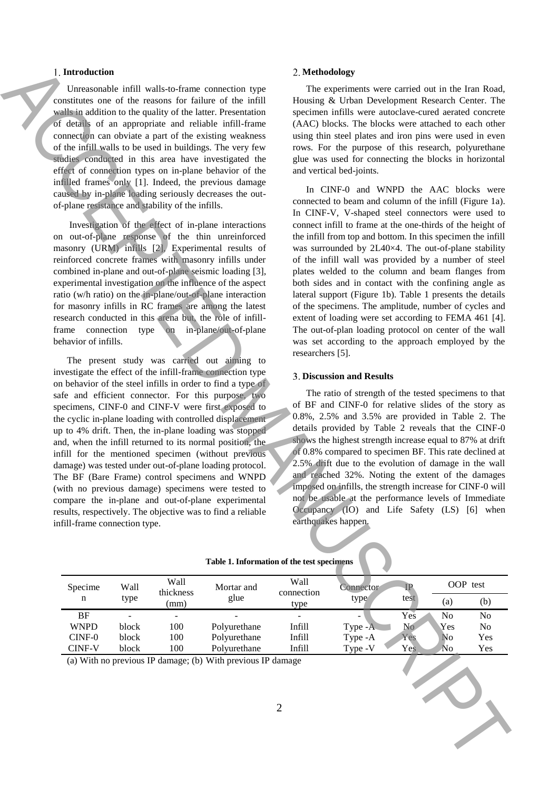#### **Introduction**

Unreasonable infill walls-to-frame connection type constitutes one of the reasons for failure of the infill walls in addition to the quality of the latter. Presentation of details of an appropriate and reliable infill-frame connection can obviate a part of the existing weakness of the infill walls to be used in buildings. The very few studies conducted in this area have investigated the effect of connection types on in-plane behavior of the infilled frames only [1]. Indeed, the previous damage caused by in-plane loading seriously decreases the outof-plane resistance and stability of the infills.

Investigation of the effect of in-plane interactions on out-of-plane response of the thin unreinforced masonry (URM) infills [2], Experimental results of reinforced concrete frames with masonry infills under combined in-plane and out-of-plane seismic loading [3], experimental investigation on the influence of the aspect ratio (w/h ratio) on the in-plane/out-of-plane interaction for masonry infills in RC frames are among the latest research conducted in this arena but, the role of infillframe connection type on in-plane/out-of-plane behavior of infills.

The present study was carried out aiming to investigate the effect of the infill-frame connection type on behavior of the steel infills in order to find a type of safe and efficient connector. For this purpose, two specimens, CINF-0 and CINF-V were first exposed to the cyclic in-plane loading with controlled displacement up to 4% drift. Then, the in-plane loading was stopped and, when the infill returned to its normal position, the infill for the mentioned specimen (without previous damage) was tested under out-of-plane loading protocol. The BF (Bare Frame) control specimens and WNPD (with no previous damage) specimens were tested to compare the in-plane and out-of-plane experimental results, respectively. The objective was to find a reliable infill-frame connection type.

# **Methodology**

The experiments were carried out in the Iran Road, Housing & Urban Development Research Center. The specimen infills were autoclave-cured aerated concrete (AAC) blocks. The blocks were attached to each other using thin steel plates and iron pins were used in even rows. For the purpose of this research, polyurethane glue was used for connecting the blocks in horizontal and vertical bed-joints.

In CINF-0 and WNPD the AAC blocks were connected to beam and column of the infill (Figure 1a). In CINF-V, V-shaped steel connectors were used to connect infill to frame at the one-thirds of the height of the infill from top and bottom. In this specimen the infill was surrounded by 2L40×4. The out-of-plane stability of the infill wall was provided by a number of steel plates welded to the column and beam flanges from both sides and in contact with the confining angle as lateral support (Figure 1b). Table 1 presents the details of the specimens. The amplitude, number of cycles and extent of loading were set according to FEMA 461 [4]. The out-of-plan loading protocol on center of the wall was set according to the approach employed by the researchers [5]. **1.** Interaction of the state of the contents of the main of the state of the state of the state of the state of the state of the state of the state of the state of the state of the state of the state of the state of the

## **Discussion and Results**

The ratio of strength of the tested specimens to that of BF and CINF-0 for relative slides of the story as 0.8%, 2.5% and 3.5% are provided in Table 2. The details provided by Table 2 reveals that the CINF-0 shows the highest strength increase equal to 87% at drift of 0.8% compared to specimen BF. This rate declined at 2.5% drift due to the evolution of damage in the wall and reached 32%. Noting the extent of the damages imposed on infills, the strength increase for CINF-0 will not be usable at the performance levels of Immediate Occupancy (IO) and Life Safety (LS) [6] when earthquakes happen.

| Specime                                                                       | Wall<br>type | Wall<br>thickness<br>(mm) | Mortar and<br>glue | Wall<br>connection<br>type | Connector | $\mathbf{P}$<br>test | OOP test       |                |
|-------------------------------------------------------------------------------|--------------|---------------------------|--------------------|----------------------------|-----------|----------------------|----------------|----------------|
| n                                                                             |              |                           |                    |                            | type      |                      | (a)            | (b)            |
| BF                                                                            |              |                           |                    |                            | -         | Yes                  | N <sub>0</sub> | No             |
| <b>WNPD</b>                                                                   | block        | 100                       | Polyurethane       | Infill                     | Type -A   | N <sub>o</sub>       | Yes            | N <sub>0</sub> |
| $CINF-0$                                                                      | block        | 100                       | Polyurethane       | <b>Infill</b>              | Type -A   | Yes                  | No             | Yes            |
| <b>CINF-V</b>                                                                 | block        | 100                       | Polyurethane       | <b>Infill</b>              | Type -V   | Yes.                 | N <sub>o</sub> | Yes            |
| (a) With no previous IP damage; (b) With previous IP damage<br>$\overline{2}$ |              |                           |                    |                            |           |                      |                |                |

|  | Table 1. Information of the test specimens |  |  |
|--|--------------------------------------------|--|--|
|  |                                            |  |  |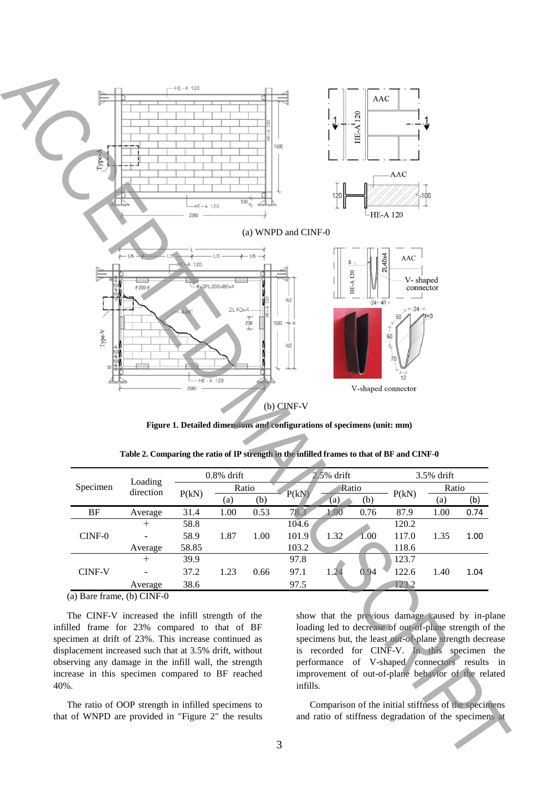

**Figure 1. Detailed dimensions and configurations of specimens (unit: mm)**

| Specimen                                      | Loading   | $0.8\%$ drift |                          | $2.5%$ drift |       |              | 3.5% drift |       |       |      |
|-----------------------------------------------|-----------|---------------|--------------------------|--------------|-------|--------------|------------|-------|-------|------|
|                                               | direction |               |                          | Ratio        |       | Ratio        |            |       | Ratio |      |
|                                               |           | P(kN)         | $\left( \text{a}\right)$ | (b)          | P(kN) | (b)<br>(a)   | P(kN)      | (a)   | (b)   |      |
| BF                                            | Average   | 31.4          | 1.00                     | 0.53         | 78.3  | 1.00         | 0.76       | 87.9  | 1.00  | 0.74 |
| $CINF-0$                                      | $\pm$     | 58.8          | 1.87                     |              | 104.6 |              |            | 120.2 |       |      |
|                                               |           | 58.9          |                          | 1.00         | 101.9 | 1.32         | 1.00       | 117.0 | 1.35  | 1.00 |
|                                               | Average   | 58.85         |                          |              | 103.2 |              |            | 118.6 |       |      |
| <b>CINF-V</b>                                 | $\pm$     | 39.9          | 1.23                     |              | 97.8  |              |            | 123.7 |       |      |
|                                               |           | 37.2          |                          | 0.66         | 97.1  | 0.94<br>1.24 | 122.6      | 1.40  | 1.04  |      |
|                                               | Average   | 38.6          |                          |              | 97.5  |              |            | 123.2 |       |      |
| (a) $D_{\text{one}}$ from $(A)$ CIME $\theta$ |           |               |                          |              |       |              |            |       |       |      |

**Table 2. Comparing the ratio of IP strength in the infilled frames to that of BF and CINF-0**

(a) Bare frame, (b) CINF-0

The CINF-V increased the infill strength of the infilled frame for 23% compared to that of BF specimen at drift of 23%. This increase continued as displacement increased such that at 3.5% drift, without observing any damage in the infill wall, the strength increase in this specimen compared to BF reached 40%.

The ratio of OOP strength in infilled specimens to that of WNPD are provided in "Figure 2" the results

show that the previous damage caused by in-plane loading led to decrease of out-of-plane strength of the specimens but, the least out-of-plane strength decrease is recorded for CINF-V. In this specimen the performance of V-shaped connectors results in improvement of out-of-plane behavior of the related infills.

Comparison of the initial stiffness of the specimens